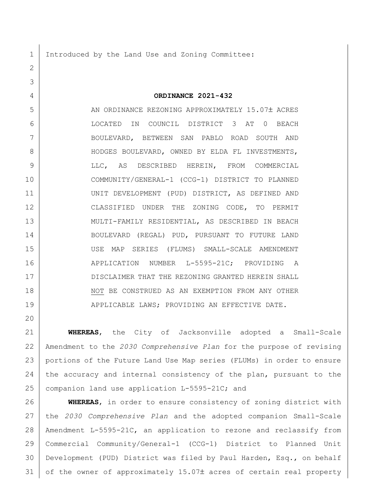Introduced by the Land Use and Zoning Committee:

## **ORDINANCE 2021-432**

5 AN ORDINANCE REZONING APPROXIMATELY 15.07± ACRES LOCATED IN COUNCIL DISTRICT 3 AT 0 BEACH BOULEVARD, BETWEEN SAN PABLO ROAD SOUTH AND 8 HODGES BOULEVARD, OWNED BY ELDA FL INVESTMENTS, LLC, AS DESCRIBED HEREIN, FROM COMMERCIAL COMMUNITY/GENERAL-1 (CCG-1) DISTRICT TO PLANNED UNIT DEVELOPMENT (PUD) DISTRICT, AS DEFINED AND CLASSIFIED UNDER THE ZONING CODE, TO PERMIT MULTI-FAMILY RESIDENTIAL, AS DESCRIBED IN BEACH BOULEVARD (REGAL) PUD, PURSUANT TO FUTURE LAND USE MAP SERIES (FLUMS) SMALL-SCALE AMENDMENT 16 | APPLICATION NUMBER L-5595-21C; PROVIDING A DISCLAIMER THAT THE REZONING GRANTED HEREIN SHALL 18 NOT BE CONSTRUED AS AN EXEMPTION FROM ANY OTHER 19 | APPLICABLE LAWS; PROVIDING AN EFFECTIVE DATE.

 **WHEREAS**, the City of Jacksonville adopted a Small-Scale Amendment to the *2030 Comprehensive Plan* for the purpose of revising portions of the Future Land Use Map series (FLUMs) in order to ensure 24 the accuracy and internal consistency of the plan, pursuant to the 25 companion land use application L-5595-21C; and

 **WHEREAS**, in order to ensure consistency of zoning district with the *2030 Comprehensive Plan* and the adopted companion Small-Scale Amendment L-5595-21C, an application to rezone and reclassify from Commercial Community/General-1 (CCG-1) District to Planned Unit Development (PUD) District was filed by Paul Harden, Esq., on behalf of the owner of approximately 15.07± acres of certain real property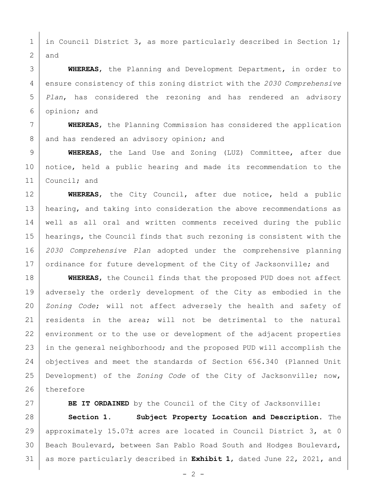1 in Council District 3, as more particularly described in Section 1; 2 and

 **WHEREAS**, the Planning and Development Department, in order to ensure consistency of this zoning district with the *2030 Comprehensive Plan*, has considered the rezoning and has rendered an advisory opinion; and

7 **WHEREAS**, the Planning Commission has considered the application 8 and has rendered an advisory opinion; and

9 **WHEREAS**, the Land Use and Zoning (LUZ) Committee, after due 10 notice, held a public hearing and made its recommendation to the 11 | Council; and

 **WHEREAS**, the City Council, after due notice, held a public 13 | hearing, and taking into consideration the above recommendations as well as all oral and written comments received during the public hearings, the Council finds that such rezoning is consistent with the *2030 Comprehensive Plan* adopted under the comprehensive planning 17 ordinance for future development of the City of Jacksonville; and

18 **WHEREAS**, the Council finds that the proposed PUD does not affect 19 adversely the orderly development of the City as embodied in the 20 *Zoning Code*; will not affect adversely the health and safety of 21 | residents in the area; will not be detrimental to the natural 22 environment or to the use or development of the adjacent properties 23 in the general neighborhood; and the proposed PUD will accomplish the 24 objectives and meet the standards of Section 656.340 (Planned Unit 25 Development) of the *Zoning Code* of the City of Jacksonville; now, 26 therefore

27 **BE IT ORDAINED** by the Council of the City of Jacksonville:

28 **Section 1. Subject Property Location and Description.** The 29 | approximately 15.07± acres are located in Council District 3, at 0 30 | Beach Boulevard, between San Pablo Road South and Hodges Boulevard, 31 as more particularly described in **Exhibit 1**, dated June 22, 2021, and

 $- 2 -$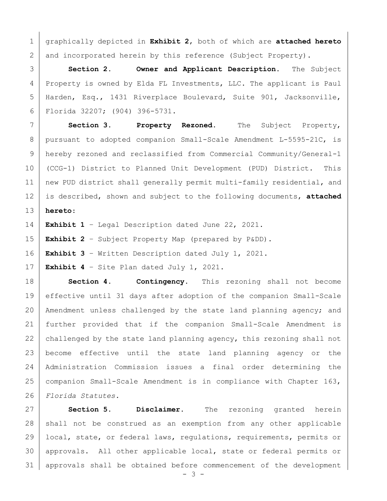graphically depicted in **Exhibit 2**, both of which are **attached hereto** 2 and incorporated herein by this reference (Subject Property).

 **Section 2. Owner and Applicant Description.** The Subject Property is owned by Elda FL Investments, LLC. The applicant is Paul Harden, Esq., 1431 Riverplace Boulevard, Suite 901, Jacksonville, Florida 32207; (904) 396-5731.

 **Section 3. Property Rezoned.** The Subject Property, 8 | pursuant to adopted companion Small-Scale Amendment L-5595-21C, is hereby rezoned and reclassified from Commercial Community/General-1 (CCG-1) District to Planned Unit Development (PUD) District. This new PUD district shall generally permit multi-family residential, and is described, shown and subject to the following documents, **attached hereto**:

**Exhibit 1** – Legal Description dated June 22, 2021.

**Exhibit 2** – Subject Property Map (prepared by P&DD).

**Exhibit 3** – Written Description dated July 1, 2021.

**Exhibit 4** – Site Plan dated July 1, 2021.

 **Section 4. Contingency.** This rezoning shall not become effective until 31 days after adoption of the companion Small-Scale 20 | Amendment unless challenged by the state land planning agency; and further provided that if the companion Small-Scale Amendment is 22 challenged by the state land planning agency, this rezoning shall not become effective until the state land planning agency or the Administration Commission issues a final order determining the companion Small-Scale Amendment is in compliance with Chapter 163, *Florida Statutes.*

 **Section 5. Disclaimer.** The rezoning granted herein 28 | shall not be construed as an exemption from any other applicable local, state, or federal laws, regulations, requirements, permits or approvals. All other applicable local, state or federal permits or approvals shall be obtained before commencement of the development

- 3 -